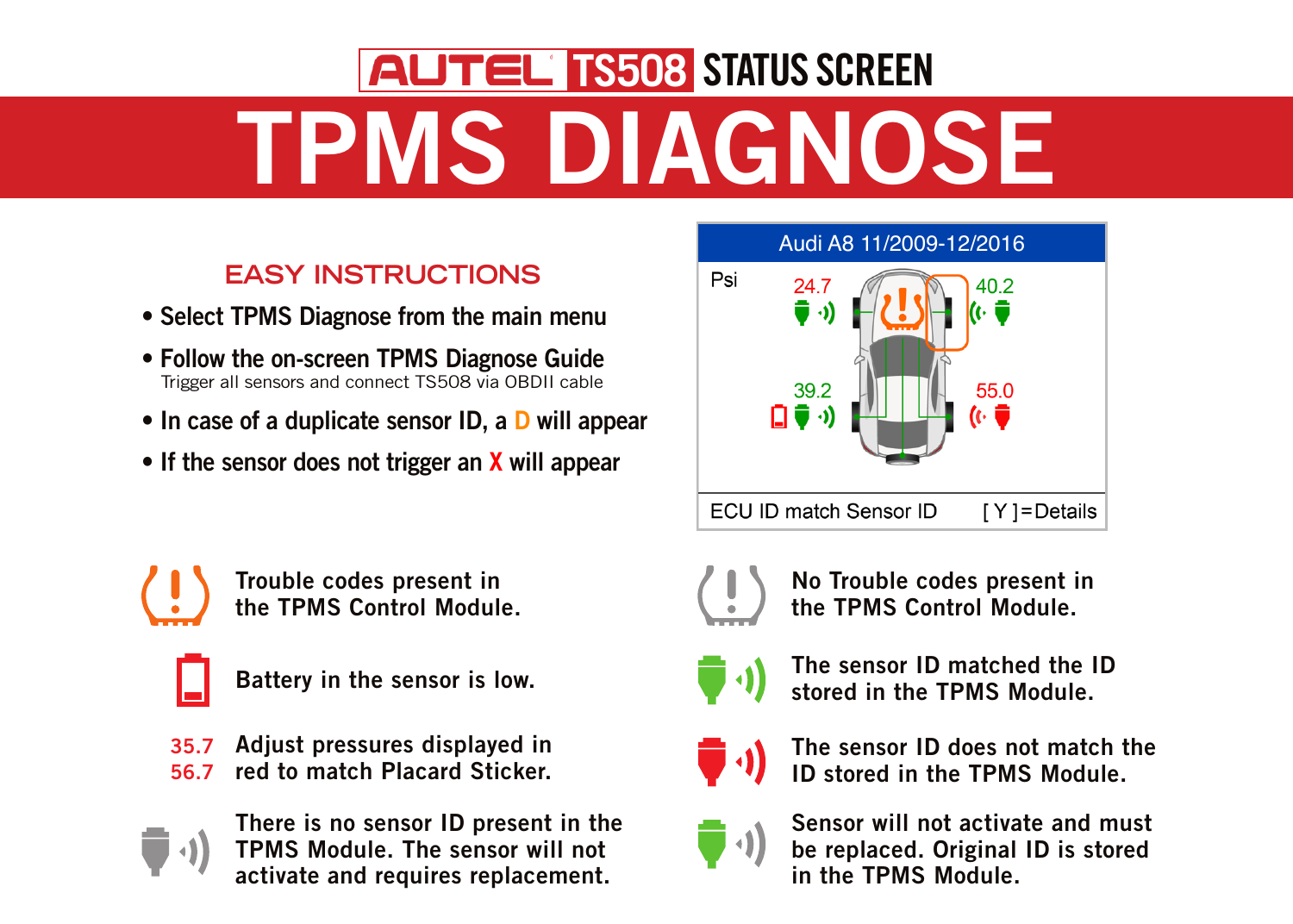## TPMS DIAGNOSE **AUTEL TS508 STATUS SCREEN**

## **EASY INSTRUCTIONS**

- Select TPMS Diagnose from the main menu
- Follow the on-screen TPMS Diagnose Guide Trigger all sensors and connect TS508 via OBDII cable
- In case of a duplicate sensor ID, a D will appear
- If the sensor does not trigger an X will appear



Trouble codes present in the TPMS Control Module.



35.7 56.7 Adjust pressures displayed in red to match Placard Sticker.



There is no sensor ID present in the TPMS Module. The sensor will not activate and requires replacement.





No Trouble codes present in the TPMS Control Module.



Battery in the sensor is low.  $\begin{pmatrix} 1 & 1 \end{pmatrix}$  at the TDMS Module. stored in the TPMS Module.



The sensor ID does not match the ID stored in the TPMS Module.



Sensor will not activate and must be replaced. Original ID is stored in the TPMS Module.